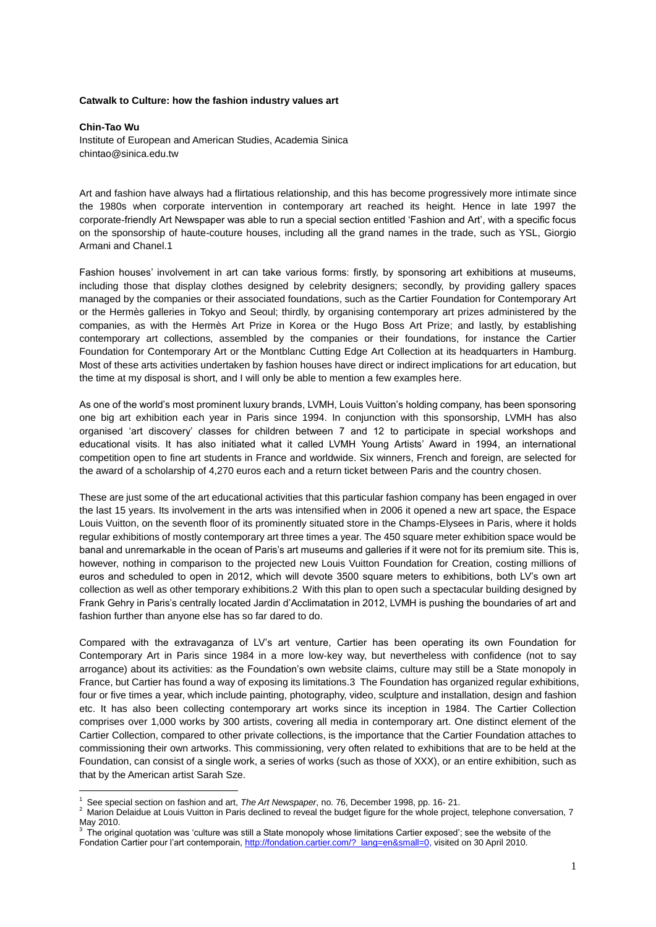## **Catwalk to Culture: how the fashion industry values art**

**Chin-Tao Wu** Institute of European and American Studies, Academia Sinica chintao@sinica.edu.tw

Art and fashion have always had a flirtatious relationship, and this has become progressively more intimate since the 1980s when corporate intervention in contemporary art reached its height. Hence in late 1997 the corporate-friendly Art Newspaper was able to run a special section entitled 'Fashion and Art', with a specific focus on the sponsorship of haute-couture houses, including all the grand names in the trade, such as YSL, Giorgio Armani and Chanel.1

Fashion houses' involvement in art can take various forms: firstly, by sponsoring art exhibitions at museums, including those that display clothes designed by celebrity designers; secondly, by providing gallery spaces managed by the companies or their associated foundations, such as the Cartier Foundation for Contemporary Art or the Hermès galleries in Tokyo and Seoul; thirdly, by organising contemporary art prizes administered by the companies, as with the Hermès Art Prize in Korea or the Hugo Boss Art Prize; and lastly, by establishing contemporary art collections, assembled by the companies or their foundations, for instance the Cartier Foundation for Contemporary Art or the Montblanc Cutting Edge Art Collection at its headquarters in Hamburg. Most of these arts activities undertaken by fashion houses have direct or indirect implications for art education, but the time at my disposal is short, and I will only be able to mention a few examples here.

As one of the world's most prominent luxury brands, LVMH, Louis Vuitton's holding company, has been sponsoring one big art exhibition each year in Paris since 1994. In conjunction with this sponsorship, LVMH has also organised 'art discovery' classes for children between 7 and 12 to participate in special workshops and educational visits. It has also initiated what it called LVMH Young Artists' Award in 1994, an international competition open to fine art students in France and worldwide. Six winners, French and foreign, are selected for the award of a scholarship of 4,270 euros each and a return ticket between Paris and the country chosen.

These are just some of the art educational activities that this particular fashion company has been engaged in over the last 15 years. Its involvement in the arts was intensified when in 2006 it opened a new art space, the Espace Louis Vuitton, on the seventh floor of its prominently situated store in the Champs-Elysees in Paris, where it holds regular exhibitions of mostly contemporary art three times a year. The 450 square meter exhibition space would be banal and unremarkable in the ocean of Paris's art museums and galleries if it were not for its premium site. This is, however, nothing in comparison to the projected new Louis Vuitton Foundation for Creation, costing millions of euros and scheduled to open in 2012, which will devote 3500 square meters to exhibitions, both LV's own art collection as well as other temporary exhibitions.2 With this plan to open such a spectacular building designed by Frank Gehry in Paris's centrally located Jardin d'Acclimatation in 2012, LVMH is pushing the boundaries of art and fashion further than anyone else has so far dared to do.

Compared with the extravaganza of LV's art venture, Cartier has been operating its own Foundation for Contemporary Art in Paris since 1984 in a more low-key way, but nevertheless with confidence (not to say arrogance) about its activities: as the Foundation's own website claims, culture may still be a State monopoly in France, but Cartier has found a way of exposing its limitations.3 The Foundation has organized regular exhibitions, four or five times a year, which include painting, photography, video, sculpture and installation, design and fashion etc. It has also been collecting contemporary art works since its inception in 1984. The Cartier Collection comprises over 1,000 works by 300 artists, covering all media in contemporary art. One distinct element of the Cartier Collection, compared to other private collections, is the importance that the Cartier Foundation attaches to commissioning their own artworks. This commissioning, very often related to exhibitions that are to be held at the Foundation, can consist of a single work, a series of works (such as those of XXX), or an entire exhibition, such as that by the American artist Sarah Sze.

1

<sup>1</sup> See special section on fashion and art, *The Art Newspaper*, no. 76, December 1998, pp. 16- 21.

<sup>2</sup> Marion Delaidue at Louis Vuitton in Paris declined to reveal the budget figure for the whole project, telephone conversation, 7 May 2010.<br><sup>3</sup> The original quotation was 'culture was still a State monopoly whose limitations Cartier exposed'; see the website of the

Fondation Cartier pour l'art contemporain, [http://fondation.cartier.com/?\\_lang=en&small=0,](http://fondation.cartier.com/?_lang=en&small=0) visited on 30 April 2010.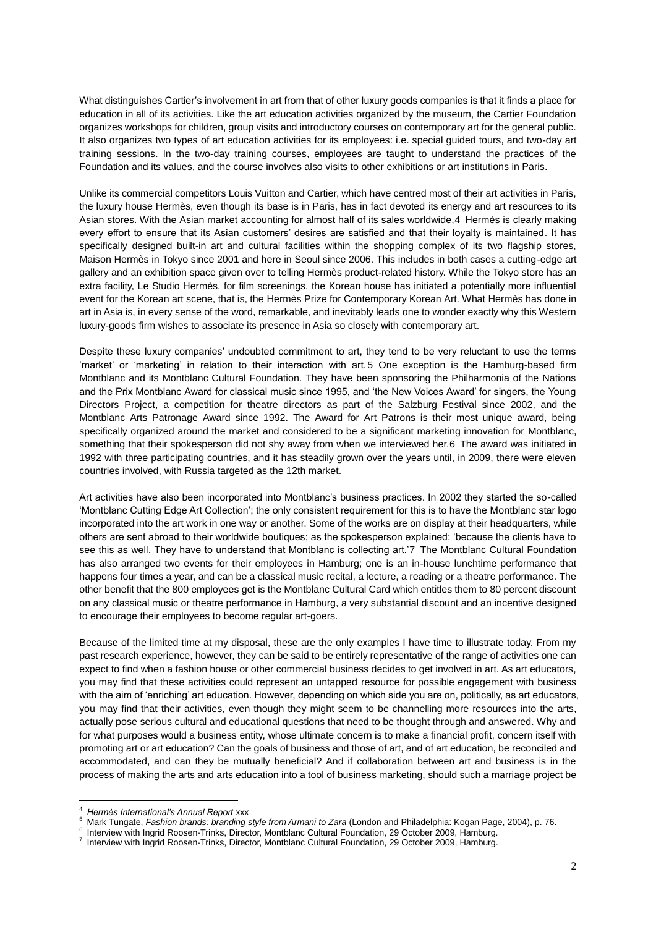What distinguishes Cartier's involvement in art from that of other luxury goods companies is that it finds a place for education in all of its activities. Like the art education activities organized by the museum, the Cartier Foundation organizes workshops for children, group visits and introductory courses on contemporary art for the general public. It also organizes two types of art education activities for its employees: i.e. special guided tours, and two-day art training sessions. In the two-day training courses, employees are taught to understand the practices of the Foundation and its values, and the course involves also visits to other exhibitions or art institutions in Paris.

Unlike its commercial competitors Louis Vuitton and Cartier, which have centred most of their art activities in Paris, the luxury house Hermès, even though its base is in Paris, has in fact devoted its energy and art resources to its Asian stores. With the Asian market accounting for almost half of its sales worldwide,4 Hermès is clearly making every effort to ensure that its Asian customers' desires are satisfied and that their loyalty is maintained. It has specifically designed built-in art and cultural facilities within the shopping complex of its two flagship stores, Maison Hermès in Tokyo since 2001 and here in Seoul since 2006. This includes in both cases a cutting-edge art gallery and an exhibition space given over to telling Hermès product-related history. While the Tokyo store has an extra facility, Le Studio Hermès, for film screenings, the Korean house has initiated a potentially more influential event for the Korean art scene, that is, the Hermès Prize for Contemporary Korean Art. What Hermès has done in art in Asia is, in every sense of the word, remarkable, and inevitably leads one to wonder exactly why this Western luxury-goods firm wishes to associate its presence in Asia so closely with contemporary art.

Despite these luxury companies' undoubted commitment to art, they tend to be very reluctant to use the terms 'market' or 'marketing' in relation to their interaction with art.5 One exception is the Hamburg-based firm Montblanc and its Montblanc Cultural Foundation. They have been sponsoring the Philharmonia of the Nations and the Prix Montblanc Award for classical music since 1995, and 'the New Voices Award' for singers, the Young Directors Project, a competition for theatre directors as part of the Salzburg Festival since 2002, and the Montblanc Arts Patronage Award since 1992. The Award for Art Patrons is their most unique award, being specifically organized around the market and considered to be a significant marketing innovation for Montblanc, something that their spokesperson did not shy away from when we interviewed her.6 The award was initiated in 1992 with three participating countries, and it has steadily grown over the years until, in 2009, there were eleven countries involved, with Russia targeted as the 12th market.

Art activities have also been incorporated into Montblanc's business practices. In 2002 they started the so-called 'Montblanc Cutting Edge Art Collection'; the only consistent requirement for this is to have the Montblanc star logo incorporated into the art work in one way or another. Some of the works are on display at their headquarters, while others are sent abroad to their worldwide boutiques; as the spokesperson explained: 'because the clients have to see this as well. They have to understand that Montblanc is collecting art.'7 The Montblanc Cultural Foundation has also arranged two events for their employees in Hamburg; one is an in-house lunchtime performance that happens four times a year, and can be a classical music recital, a lecture, a reading or a theatre performance. The other benefit that the 800 employees get is the Montblanc Cultural Card which entitles them to 80 percent discount on any classical music or theatre performance in Hamburg, a very substantial discount and an incentive designed to encourage their employees to become regular art-goers.

Because of the limited time at my disposal, these are the only examples I have time to illustrate today. From my past research experience, however, they can be said to be entirely representative of the range of activities one can expect to find when a fashion house or other commercial business decides to get involved in art. As art educators, you may find that these activities could represent an untapped resource for possible engagement with business with the aim of 'enriching' art education. However, depending on which side you are on, politically, as art educators, you may find that their activities, even though they might seem to be channelling more resources into the arts, actually pose serious cultural and educational questions that need to be thought through and answered. Why and for what purposes would a business entity, whose ultimate concern is to make a financial profit, concern itself with promoting art or art education? Can the goals of business and those of art, and of art education, be reconciled and accommodated, and can they be mutually beneficial? And if collaboration between art and business is in the process of making the arts and arts education into a tool of business marketing, should such a marriage project be

<u>.</u>

<sup>4</sup> *Hermès International's Annual Report* xxx

<sup>5</sup> Mark Tungate, *Fashion brands: branding style from Armani to Zara* (London and Philadelphia: Kogan Page, 2004), p. 76.

<sup>6</sup> Interview with Ingrid Roosen-Trinks, Director, Montblanc Cultural Foundation, 29 October 2009, Hamburg. 7

Interview with Ingrid Roosen-Trinks, Director, Montblanc Cultural Foundation, 29 October 2009, Hamburg.